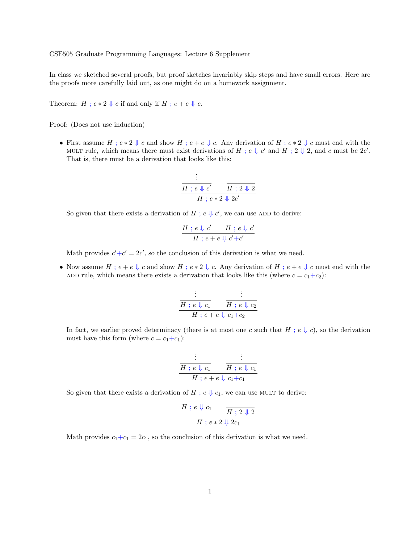CSE505 Graduate Programming Languages: Lecture 6 Supplement

In class we sketched several proofs, but proof sketches invariably skip steps and have small errors. Here are the proofs more carefully laid out, as one might do on a homework assignment.

Theorem:  $H$ ;  $e * 2 \Downarrow c$  if and only if  $H$ ;  $e + e \Downarrow c$ .

Proof: (Does not use induction)

• First assume  $H$ ;  $e * 2 \Downarrow c$  and show  $H$ ;  $e + e \Downarrow c$ . Any derivation of  $H$ ;  $e * 2 \Downarrow c$  must end with the MULT rule, which means there must exist derivations of H;  $e \Downarrow c'$  and H;  $2 \Downarrow 2$ , and c must be  $2c'$ . That is, there must be a derivation that looks like this:

$$
\frac{\vdots}{\frac{H}{H \; ; \; e \Downarrow c'} \quad \frac{\overline{H} \; ; \; 2 \Downarrow 2}{H \; ; \; e * 2 \Downarrow 2c'}}
$$

So given that there exists a derivation of H;  $e \Downarrow c'$ , we can use ADD to derive:

$$
\frac{H \,;\, e \Downarrow c' \qquad H \,;\, e \Downarrow c'}{H \,;\, e + e \Downarrow c' + c'}
$$

Math provides  $c'+c'=2c'$ , so the conclusion of this derivation is what we need.

• Now assume  $H : e + e \Downarrow c$  and show  $H : e * 2 \Downarrow c$ . Any derivation of  $H : e + e \Downarrow c$  must end with the ADD rule, which means there exists a derivation that looks like this (where  $c = c_1+c_2$ ):

$$
\begin{array}{c}\n\vdots & \vdots \\
\hline\nH : e \Downarrow c_1 & H : e \Downarrow c_2 \\
\hline\nH : e + e \Downarrow c_1 + c_2\n\end{array}
$$

In fact, we earlier proved determinacy (there is at most one c such that H ;  $e \Downarrow c$ ), so the derivation must have this form (where  $c = c_1+c_1$ ):

$$
\begin{array}{c}\n\vdots & \vdots \\
\hline\nH : e \Downarrow c_1 & H : e \Downarrow c_1 \\
\hline\nH : e + e \Downarrow c_1 + c_1\n\end{array}
$$

So given that there exists a derivation of H ;  $e \Downarrow c_1$ , we can use MULT to derive:

$$
\cfrac{H}{H} ; e \Downarrow c_1 \qquad \cfrac{H}{H} ; 2 \Downarrow 2
$$

$$
H ; e * 2 \Downarrow 2c_1
$$

Math provides  $c_1+c_1=2c_1$ , so the conclusion of this derivation is what we need.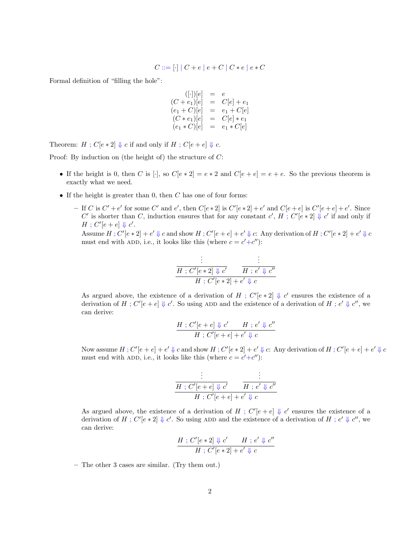$$
C ::= [\cdot] | C + e | e + C | C * e | e * C
$$

Formal definition of "filling the hole":

$$
((\cdot |)[e] = e
$$
  
\n
$$
(C + e_1)[e] = C[e] + e_1
$$
  
\n
$$
(e_1 + C)[e] = e_1 + C[e]
$$
  
\n
$$
(C * e_1)[e] = C[e] * e_1
$$
  
\n
$$
(e_1 * C)[e] = e_1 * C[e]
$$

Theorem:  $H: C[e * 2] \Downarrow c$  if and only if  $H: C[e + e] \Downarrow c$ .

Proof: By induction on (the height of) the structure of C:

- If the height is 0, then C is [·], so  $C[e * 2] = e * 2$  and  $C[e + e] = e + e$ . So the previous theorem is exactly what we need.
- If the height is greater than  $0$ , then  $C$  has one of four forms:
	- If C is  $C' + e'$  for some C' and e', then  $C[e * 2]$  is  $C'[e * 2] + e'$  and  $C[e + e]$  is  $C'[e + e] + e'$ . Since C' is shorter than C, induction ensures that for any constant c', H; C'[e \*2]  $\downarrow$  c' if and only if  $H$ ;  $C'[e+e] \Downarrow c'.$

Assume  $H: C'[e * 2] + e' \Downarrow c$  and show  $H: C'[e + e] + e' \Downarrow c$ . Any derivation of  $H: C'[e * 2] + e' \Downarrow c$ must end with ADD, i.e., it looks like this (where  $c = c' + c''$ ):

$$
\frac{\vdots}{H:C'[e*2]\Downarrow c'} \qquad \frac{\vdots}{H:e'\Downarrow c''}
$$

$$
H:C'[e*2]+e'\Downarrow c
$$

As argued above, the existence of a derivation of H;  $C'[e * 2] \Downarrow c'$  ensures the existence of a derivation of H;  $C'[e+e] \Downarrow c'$ . So using ADD and the existence of a derivation of H;  $e' \Downarrow c''$ , we can derive:

$$
\frac{H:C'[e+e]\Downarrow c' \qquad H\ ;\ e'\Downarrow c''}{H\ ;\ C'[e+e]+e'\Downarrow c}
$$

Now assume  $H: C'[e+e]+ e' \downarrow c$  and show  $H: C'[e*2]+ e' \downarrow c$ : Any derivation of  $H: C'[e+e]+ e' \downarrow c$ must end with ADD, i.e., it looks like this (where  $c = c' + c''$ ):

$$
\frac{\vdots}{H:C'[e+e]\Downarrow c'} \qquad \frac{\vdots}{H:e'\Downarrow c''}
$$

$$
H:C'[e+e]+e'\Downarrow c
$$

As argued above, the existence of a derivation of H;  $C'[e+e] \Downarrow c'$  ensures the existence of a derivation of H; C'[e \* 2]  $\downarrow$  c'. So using ADD and the existence of a derivation of H; e'  $\downarrow$  c'', we can derive:

$$
\frac{H:C'[e*2]\Downarrow c' \qquad H:e'\Downarrow c''}{H:C'[e*2]+e'\Downarrow c}
$$

– The other 3 cases are similar. (Try them out.)